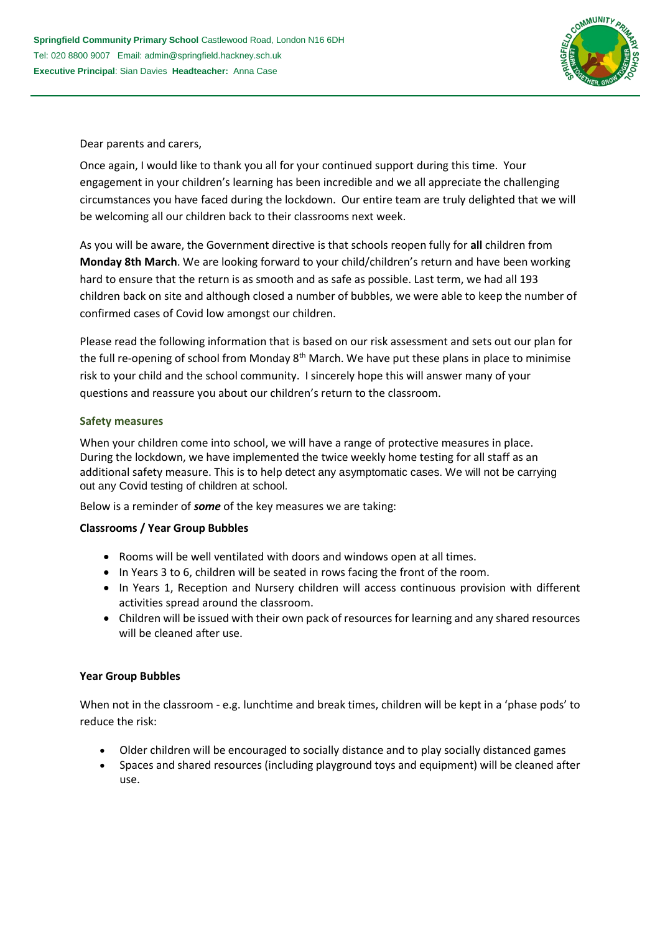

Dear parents and carers,

Once again, I would like to thank you all for your continued support during this time. Your engagement in your children's learning has been incredible and we all appreciate the challenging circumstances you have faced during the lockdown. Our entire team are truly delighted that we will be welcoming all our children back to their classrooms next week.

As you will be aware, the Government directive is that schools reopen fully for **all** children from **Monday 8th March**. We are looking forward to your child/children's return and have been working hard to ensure that the return is as smooth and as safe as possible. Last term, we had all 193 children back on site and although closed a number of bubbles, we were able to keep the number of confirmed cases of Covid low amongst our children.

Please read the following information that is based on our risk assessment and sets out our plan for the full re-opening of school from Monday 8<sup>th</sup> March. We have put these plans in place to minimise risk to your child and the school community. I sincerely hope this will answer many of your questions and reassure you about our children's return to the classroom.

# **Safety measures**

When your children come into school, we will have a range of protective measures in place. During the lockdown, we have implemented the twice weekly home testing for all staff as an additional safety measure. This is to help detect any asymptomatic cases. We will not be carrying out any Covid testing of children at school.

Below is a reminder of *some* of the key measures we are taking:

# **Classrooms / Year Group Bubbles**

- Rooms will be well ventilated with doors and windows open at all times.
- In Years 3 to 6, children will be seated in rows facing the front of the room.
- In Years 1, Reception and Nursery children will access continuous provision with different activities spread around the classroom.
- Children will be issued with their own pack of resources for learning and any shared resources will be cleaned after use.

# **Year Group Bubbles**

When not in the classroom - e.g. lunchtime and break times, children will be kept in a 'phase pods' to reduce the risk:

- Older children will be encouraged to socially distance and to play socially distanced games
- Spaces and shared resources (including playground toys and equipment) will be cleaned after use.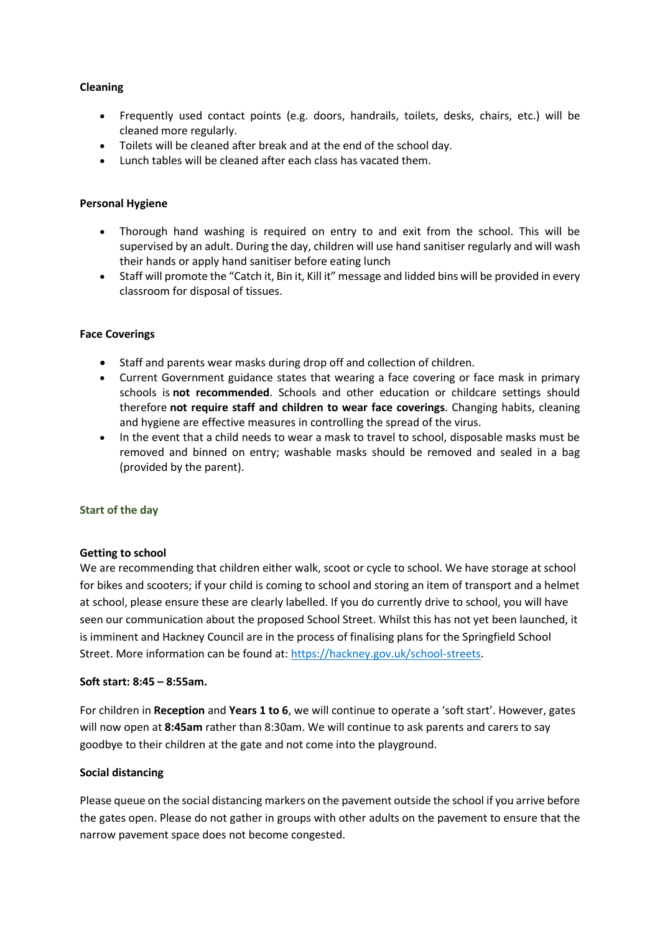### **Cleaning**

- Frequently used contact points (e.g. doors, handrails, toilets, desks, chairs, etc.) will be cleaned more regularly.
- Toilets will be cleaned after break and at the end of the school day.
- Lunch tables will be cleaned after each class has vacated them.

### **Personal Hygiene**

- Thorough hand washing is required on entry to and exit from the school. This will be supervised by an adult. During the day, children will use hand sanitiser regularly and will wash their hands or apply hand sanitiser before eating lunch
- Staff will promote the "Catch it, Bin it, Kill it" message and lidded bins will be provided in every classroom for disposal of tissues.

### **Face Coverings**

- Staff and parents wear masks during drop off and collection of children.
- Current Government guidance states that wearing a face covering or face mask in primary schools is **not recommended**. Schools and other education or childcare settings should therefore **not require staff and children to wear face coverings**. Changing habits, cleaning and hygiene are effective measures in controlling the spread of the virus.
- In the event that a child needs to wear a mask to travel to school, disposable masks must be removed and binned on entry; washable masks should be removed and sealed in a bag (provided by the parent).

### **Start of the day**

### **Getting to school**

We are recommending that children either walk, scoot or cycle to school. We have storage at school for bikes and scooters; if your child is coming to school and storing an item of transport and a helmet at school, please ensure these are clearly labelled. If you do currently drive to school, you will have seen our communication about the proposed School Street. Whilst this has not yet been launched, it is imminent and Hackney Council are in the process of finalising plans for the Springfield School Street. More information can be found at: [https://hackney.gov.uk/school-streets.](https://hackney.gov.uk/school-streets)

### **Soft start: 8:45 – 8:55am.**

For children in **Reception** and **Years 1 to 6**, we will continue to operate a 'soft start'. However, gates will now open at **8:45am** rather than 8:30am. We will continue to ask parents and carers to say goodbye to their children at the gate and not come into the playground.

### **Social distancing**

Please queue on the social distancing markers on the pavement outside the school if you arrive before the gates open. Please do not gather in groups with other adults on the pavement to ensure that the narrow pavement space does not become congested.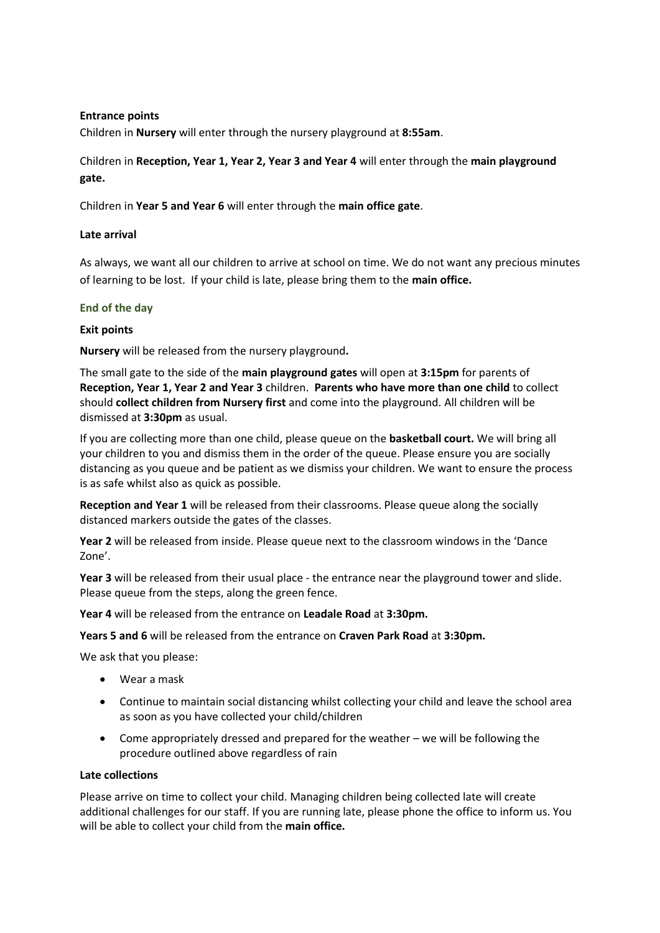### **Entrance points**

Children in **Nursery** will enter through the nursery playground at **8:55am**.

Children in **Reception, Year 1, Year 2, Year 3 and Year 4** will enter through the **main playground gate.**

Children in **Year 5 and Year 6** will enter through the **main office gate**.

### **Late arrival**

As always, we want all our children to arrive at school on time. We do not want any precious minutes of learning to be lost. If your child is late, please bring them to the **main office.**

# **End of the day**

# **Exit points**

**Nursery** will be released from the nursery playground**.**

The small gate to the side of the **main playground gates** will open at **3:15pm** for parents of **Reception, Year 1, Year 2 and Year 3** children. **Parents who have more than one child** to collect should **collect children from Nursery first** and come into the playground. All children will be dismissed at **3:30pm** as usual.

If you are collecting more than one child, please queue on the **basketball court.** We will bring all your children to you and dismiss them in the order of the queue. Please ensure you are socially distancing as you queue and be patient as we dismiss your children. We want to ensure the process is as safe whilst also as quick as possible.

**Reception and Year 1** will be released from their classrooms. Please queue along the socially distanced markers outside the gates of the classes.

**Year 2** will be released from inside. Please queue next to the classroom windows in the 'Dance Zone'.

**Year 3** will be released from their usual place - the entrance near the playground tower and slide. Please queue from the steps, along the green fence.

### **Year 4** will be released from the entrance on **Leadale Road** at **3:30pm.**

### **Years 5 and 6** will be released from the entrance on **Craven Park Road** at **3:30pm.**

We ask that you please:

- Wear a mask
- Continue to maintain social distancing whilst collecting your child and leave the school area as soon as you have collected your child/children
- Come appropriately dressed and prepared for the weather we will be following the procedure outlined above regardless of rain

### **Late collections**

Please arrive on time to collect your child. Managing children being collected late will create additional challenges for our staff. If you are running late, please phone the office to inform us. You will be able to collect your child from the **main office.**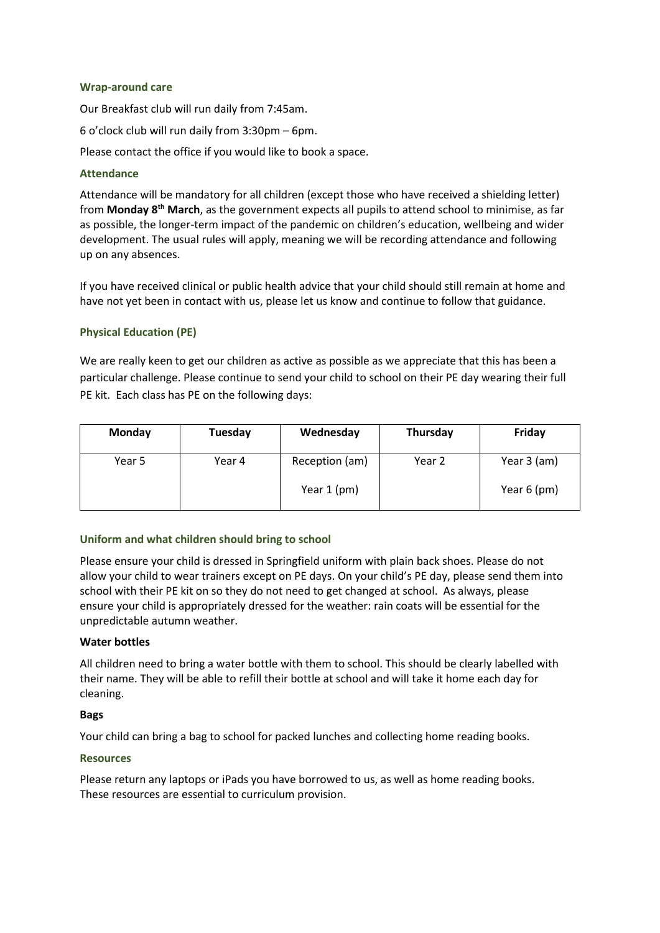### **Wrap-around care**

Our Breakfast club will run daily from 7:45am.

6 o'clock club will run daily from 3:30pm – 6pm.

Please contact the office if you would like to book a space.

### **Attendance**

Attendance will be mandatory for all children (except those who have received a shielding letter) from **Monday 8th March**, as the government expects all pupils to attend school to minimise, as far as possible, the longer-term impact of the pandemic on children's education, wellbeing and wider development. The usual rules will apply, meaning we will be recording attendance and following up on any absences.

If you have received clinical or public health advice that your child should still remain at home and have not yet been in contact with us, please let us know and continue to follow that guidance.

# **Physical Education (PE)**

We are really keen to get our children as active as possible as we appreciate that this has been a particular challenge. Please continue to send your child to school on their PE day wearing their full PE kit. Each class has PE on the following days:

| Monday | Tuesday | Wednesday      | Thursday | Friday      |
|--------|---------|----------------|----------|-------------|
| Year 5 | Year 4  | Reception (am) | Year 2   | Year 3 (am) |
|        |         | Year $1$ (pm)  |          | Year 6 (pm) |

### **Uniform and what children should bring to school**

Please ensure your child is dressed in Springfield uniform with plain back shoes. Please do not allow your child to wear trainers except on PE days. On your child's PE day, please send them into school with their PE kit on so they do not need to get changed at school. As always, please ensure your child is appropriately dressed for the weather: rain coats will be essential for the unpredictable autumn weather.

### **Water bottles**

All children need to bring a water bottle with them to school. This should be clearly labelled with their name. They will be able to refill their bottle at school and will take it home each day for cleaning.

### **Bags**

Your child can bring a bag to school for packed lunches and collecting home reading books.

### **Resources**

Please return any laptops or iPads you have borrowed to us, as well as home reading books. These resources are essential to curriculum provision.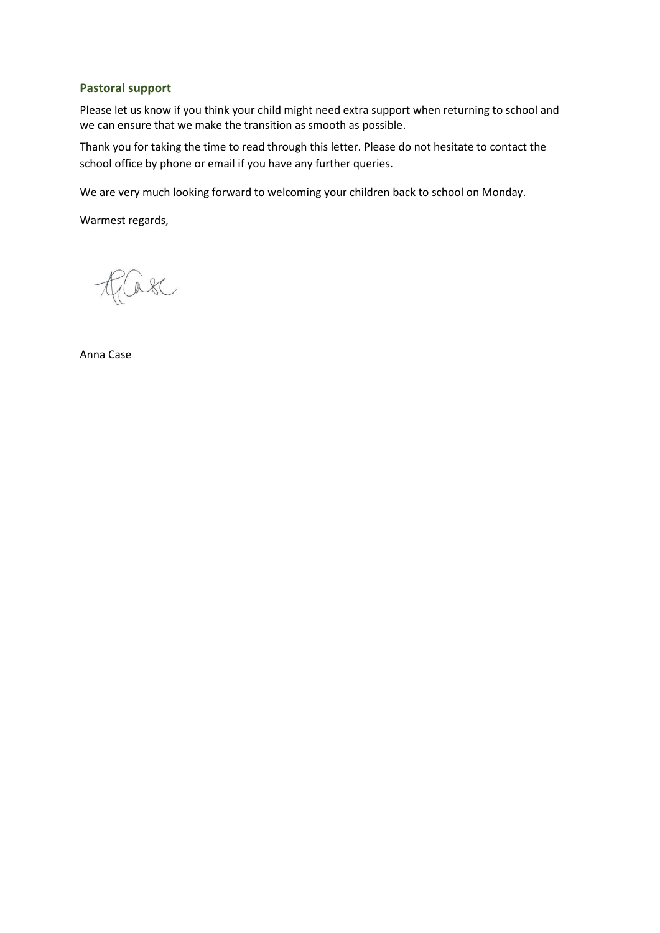# **Pastoral support**

Please let us know if you think your child might need extra support when returning to school and we can ensure that we make the transition as smooth as possible.

Thank you for taking the time to read through this letter. Please do not hesitate to contact the school office by phone or email if you have any further queries.

We are very much looking forward to welcoming your children back to school on Monday.

Warmest regards,

ak

Anna Case